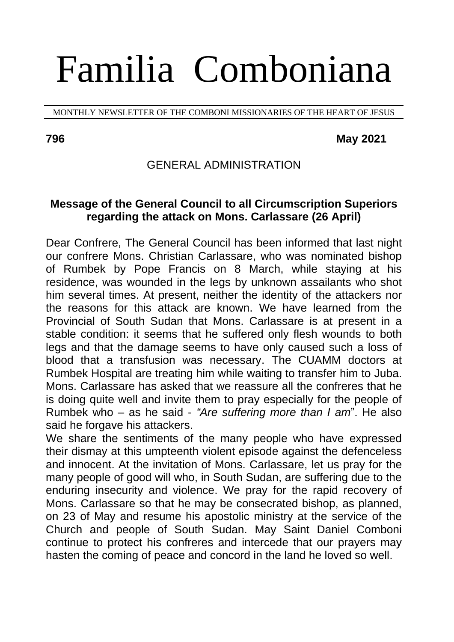# Familia Comboniana

MONTHLY NEWSLETTER OF THE COMBONI MISSIONARIES OF THE HEART OF JESUS

#### **796 May 2021**

## GENERAL ADMINISTRATION

## **Message of the General Council to all Circumscription Superiors regarding the attack on Mons. Carlassare (26 April)**

Dear Confrere, The General Council has been informed that last night our confrere Mons. Christian Carlassare, who was nominated bishop of Rumbek by Pope Francis on 8 March, while staying at his residence, was wounded in the legs by unknown assailants who shot him several times. At present, neither the identity of the attackers nor the reasons for this attack are known. We have learned from the Provincial of South Sudan that Mons. Carlassare is at present in a stable condition: it seems that he suffered only flesh wounds to both legs and that the damage seems to have only caused such a loss of blood that a transfusion was necessary. The CUAMM doctors at Rumbek Hospital are treating him while waiting to transfer him to Juba. Mons. Carlassare has asked that we reassure all the confreres that he is doing quite well and invite them to pray especially for the people of Rumbek who – as he said - *"Are suffering more than I am*". He also said he forgave his attackers.

We share the sentiments of the many people who have expressed their dismay at this umpteenth violent episode against the defenceless and innocent. At the invitation of Mons. Carlassare, let us pray for the many people of good will who, in South Sudan, are suffering due to the enduring insecurity and violence. We pray for the rapid recovery of Mons. Carlassare so that he may be consecrated bishop, as planned, on 23 of May and resume his apostolic ministry at the service of the Church and people of South Sudan. May Saint Daniel Comboni continue to protect his confreres and intercede that our prayers may hasten the coming of peace and concord in the land he loved so well.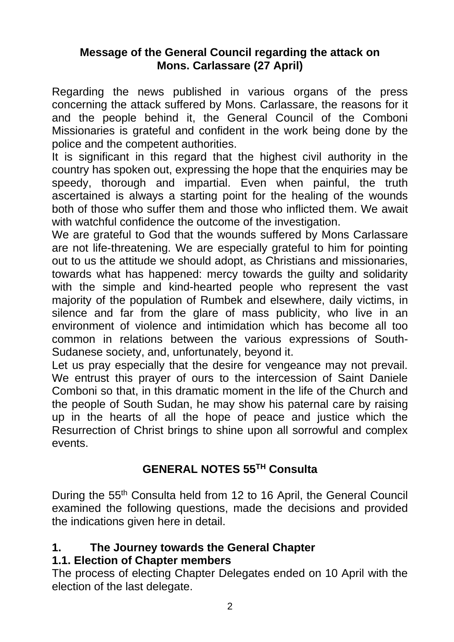## **Message of the General Council regarding the attack on Mons. Carlassare (27 April)**

Regarding the news published in various organs of the press concerning the attack suffered by Mons. Carlassare, the reasons for it and the people behind it, the General Council of the Comboni Missionaries is grateful and confident in the work being done by the police and the competent authorities.

It is significant in this regard that the highest civil authority in the country has spoken out, expressing the hope that the enquiries may be speedy, thorough and impartial. Even when painful, the truth ascertained is always a starting point for the healing of the wounds both of those who suffer them and those who inflicted them. We await with watchful confidence the outcome of the investigation.

We are grateful to God that the wounds suffered by Mons Carlassare are not life-threatening. We are especially grateful to him for pointing out to us the attitude we should adopt, as Christians and missionaries, towards what has happened: mercy towards the guilty and solidarity with the simple and kind-hearted people who represent the vast majority of the population of Rumbek and elsewhere, daily victims, in silence and far from the glare of mass publicity, who live in an environment of violence and intimidation which has become all too common in relations between the various expressions of South-Sudanese society, and, unfortunately, beyond it.

Let us pray especially that the desire for vengeance may not prevail. We entrust this prayer of ours to the intercession of Saint Daniele Comboni so that, in this dramatic moment in the life of the Church and the people of South Sudan, he may show his paternal care by raising up in the hearts of all the hope of peace and justice which the Resurrection of Christ brings to shine upon all sorrowful and complex events.

## **GENERAL NOTES 55TH Consulta**

During the 55<sup>th</sup> Consulta held from 12 to 16 April, the General Council examined the following questions, made the decisions and provided the indications given here in detail.

## **1. The Journey towards the General Chapter**

## **1.1. Election of Chapter members**

The process of electing Chapter Delegates ended on 10 April with the election of the last delegate.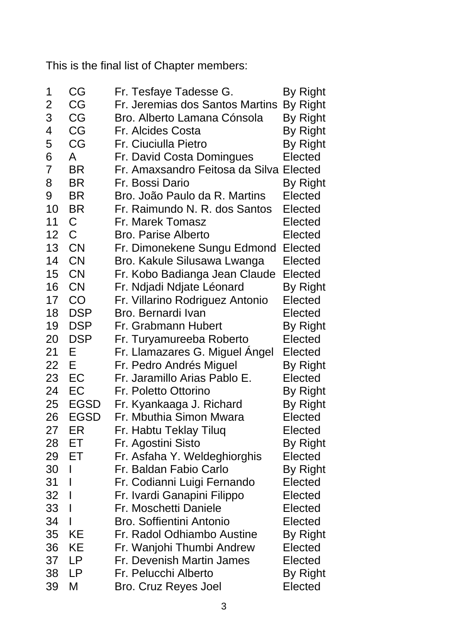This is the final list of Chapter members:

| 1              | CG           | Fr. Tesfaye Tadesse G.                  | By Right |
|----------------|--------------|-----------------------------------------|----------|
| $\overline{c}$ | CG           | Fr. Jeremias dos Santos Martins         | By Right |
| 3              | CG           | Bro. Alberto Lamana Cónsola             | By Right |
| 4              | CG           | Fr. Alcides Costa                       | By Right |
| 5              | CG           | Fr. Ciuciulla Pietro                    | By Right |
| 6              | A            | Fr. David Costa Domingues               | Elected  |
| 7              | <b>BR</b>    | Fr. Amaxsandro Feitosa da Silva Elected |          |
| 8              | <b>BR</b>    | Fr. Bossi Dario                         | By Right |
| 9              | <b>BR</b>    | Bro. João Paulo da R. Martins           | Elected  |
| 10             | <b>BR</b>    | Fr. Raimundo N. R. dos Santos           | Elected  |
| 11             | C            | Fr. Marek Tomasz                        | Elected  |
| 12             | $\mathsf{C}$ | Bro. Parise Alberto                     | Elected  |
| 13             | <b>CN</b>    | Fr. Dimonekene Sungu Edmond             | Elected  |
| 14             | <b>CN</b>    | Bro. Kakule Silusawa Lwanga             | Elected  |
| 15             | <b>CN</b>    | Fr. Kobo Badianga Jean Claude           | Elected  |
| 16             | <b>CN</b>    | Fr. Ndjadi Ndjate Léonard               | By Right |
| 17             | CO           | Fr. Villarino Rodriguez Antonio         | Elected  |
| 18             | <b>DSP</b>   | Bro. Bernardi Ivan                      | Elected  |
| 19             | <b>DSP</b>   | Fr. Grabmann Hubert                     | By Right |
| 20             | <b>DSP</b>   | Fr. Turyamureeba Roberto                | Elected  |
| 21             | E            | Fr. Llamazares G. Miguel Angel          | Elected  |
| 22             | E            | Fr. Pedro Andrés Miguel                 | By Right |
| 23             | EC           | Fr. Jaramillo Arias Pablo E.            | Elected  |
| 24             | EC           | Fr. Poletto Ottorino                    | By Right |
| 25             | <b>EGSD</b>  | Fr. Kyankaaga J. Richard                | By Right |
| 26             | <b>EGSD</b>  | Fr. Mbuthia Simon Mwara                 | Elected  |
| 27             | ER           | Fr. Habtu Teklay Tiluq                  | Elected  |
| 28             | ЕT           | Fr. Agostini Sisto                      | By Right |
| 29             | ET           | Fr. Asfaha Y. Weldeghiorghis            | Elected  |
| 30             | I            | Fr. Baldan Fabio Carlo                  | By Right |
| 31             | I            | Fr. Codianni Luigi Fernando             | Elected  |
| 32             | I            | Fr. Ivardi Ganapini Filippo             | Elected  |
| 33             | I            | Fr. Moschetti Daniele                   | Elected  |
| 34             | I            | Bro. Soffientini Antonio                | Elected  |
| 35             | KE           | Fr. Radol Odhiambo Austine              | By Right |
| 36             | KE           | Fr. Wanjohi Thumbi Andrew               | Elected  |
| 37             | LP           | Fr. Devenish Martin James               | Elected  |
| 38             | LP           | Fr. Pelucchi Alberto                    | By Right |
| 39             | M            | Bro. Cruz Reyes Joel                    | Elected  |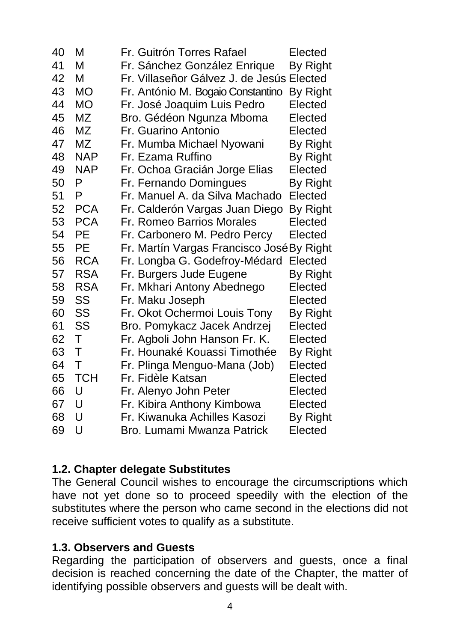| 40 | М          | Fr. Guitrón Torres Rafael                 | Elected  |
|----|------------|-------------------------------------------|----------|
| 41 | М          | Fr. Sánchez González Enrique              | By Right |
| 42 | М          | Fr. Villaseñor Gálvez J. de Jesús Elected |          |
| 43 | <b>MO</b>  | Fr. António M. Bogaio Constantino         | By Right |
| 44 | <b>MO</b>  | Fr. José Joaquim Luis Pedro               | Elected  |
| 45 | MZ         | Bro. Gédéon Ngunza Mboma                  | Elected  |
| 46 | ΜZ         | Fr. Guarino Antonio                       | Elected  |
| 47 | MZ         | Fr. Mumba Michael Nyowani                 | By Right |
| 48 | <b>NAP</b> | Fr. Ezama Ruffino                         | By Right |
| 49 | <b>NAP</b> | Fr. Ochoa Gracián Jorge Elias             | Elected  |
| 50 | P          | Fr. Fernando Domingues                    | By Right |
| 51 | P          | Fr. Manuel A. da Silva Machado            | Elected  |
| 52 | <b>PCA</b> | Fr. Calderón Vargas Juan Diego            | By Right |
| 53 | <b>PCA</b> | Fr. Romeo Barrios Morales                 | Elected  |
| 54 | PЕ         | Fr. Carbonero M. Pedro Percy              | Elected  |
| 55 | PE         | Fr. Martín Vargas Francisco José By Right |          |
| 56 | <b>RCA</b> | Fr. Longba G. Godefroy-Médard             | Elected  |
| 57 | <b>RSA</b> | Fr. Burgers Jude Eugene                   | By Right |
| 58 | <b>RSA</b> | Fr. Mkhari Antony Abednego                | Elected  |
| 59 | SS         | Fr. Maku Joseph                           | Elected  |
| 60 | SS         | Fr. Okot Ochermoi Louis Tony              | By Right |
| 61 | SS         | Bro. Pomykacz Jacek Andrzej               | Elected  |
| 62 | Τ          | Fr. Agboli John Hanson Fr. K.             | Elected  |
| 63 | т          | Fr. Hounaké Kouassi Timothée              | By Right |
| 64 | T          | Fr. Plinga Menguo-Mana (Job)              | Elected  |
| 65 | <b>TCH</b> | Fr. Fidèle Katsan                         | Elected  |
| 66 | U          | Fr. Alenyo John Peter                     | Elected  |
| 67 | U          | Fr. Kibira Anthony Kimbowa                | Elected  |
| 68 | U          | Fr. Kiwanuka Achilles Kasozi              | By Right |
| 69 | U          | Bro. Lumami Mwanza Patrick                | Elected  |

## **1.2. Chapter delegate Substitutes**

The General Council wishes to encourage the circumscriptions which have not yet done so to proceed speedily with the election of the substitutes where the person who came second in the elections did not receive sufficient votes to qualify as a substitute.

## **1.3. Observers and Guests**

Regarding the participation of observers and guests, once a final decision is reached concerning the date of the Chapter, the matter of identifying possible observers and guests will be dealt with.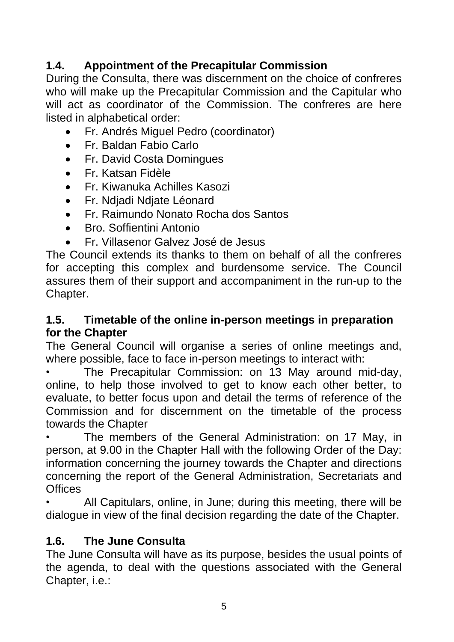## **1.4. Appointment of the Precapitular Commission**

During the Consulta, there was discernment on the choice of confreres who will make up the Precapitular Commission and the Capitular who will act as coordinator of the Commission. The confreres are here listed in alphabetical order:

- Fr. Andrés Miguel Pedro (coordinator)
- Fr. Baldan Fabio Carlo
- Fr. David Costa Domingues
- Fr. Katsan Fidèle
- Fr. Kiwanuka Achilles Kasozi
- Fr. Ndjadi Ndjate Léonard
- Fr. Raimundo Nonato Rocha dos Santos
- Bro. Soffientini Antonio
- Fr. Villasenor Galvez José de Jesus

The Council extends its thanks to them on behalf of all the confreres for accepting this complex and burdensome service. The Council assures them of their support and accompaniment in the run-up to the Chapter.

## **1.5. Timetable of the online in-person meetings in preparation for the Chapter**

The General Council will organise a series of online meetings and, where possible, face to face in-person meetings to interact with:

The Precapitular Commission: on 13 May around mid-day, online, to help those involved to get to know each other better, to evaluate, to better focus upon and detail the terms of reference of the Commission and for discernment on the timetable of the process towards the Chapter

The members of the General Administration: on 17 May, in person, at 9.00 in the Chapter Hall with the following Order of the Day: information concerning the journey towards the Chapter and directions concerning the report of the General Administration, Secretariats and **Offices** 

• All Capitulars, online, in June; during this meeting, there will be dialogue in view of the final decision regarding the date of the Chapter.

## **1.6. The June Consulta**

The June Consulta will have as its purpose, besides the usual points of the agenda, to deal with the questions associated with the General Chapter, i.e.: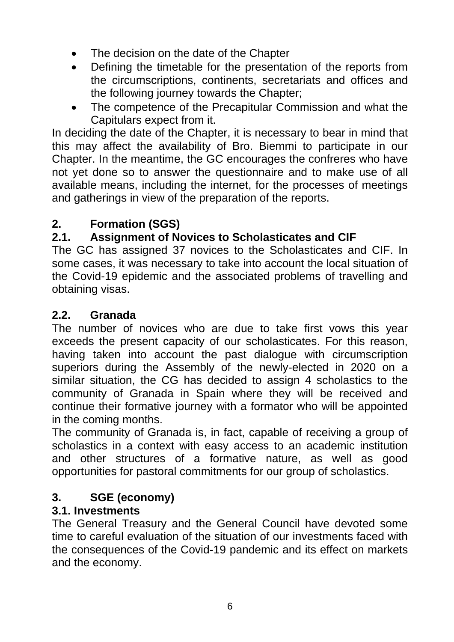- The decision on the date of the Chapter
- Defining the timetable for the presentation of the reports from the circumscriptions, continents, secretariats and offices and the following journey towards the Chapter;
- The competence of the Precapitular Commission and what the Capitulars expect from it.

In deciding the date of the Chapter, it is necessary to bear in mind that this may affect the availability of Bro. Biemmi to participate in our Chapter. In the meantime, the GC encourages the confreres who have not yet done so to answer the questionnaire and to make use of all available means, including the internet, for the processes of meetings and gatherings in view of the preparation of the reports.

# **2. Formation (SGS)**

# **2.1. Assignment of Novices to Scholasticates and CIF**

The GC has assigned 37 novices to the Scholasticates and CIF. In some cases, it was necessary to take into account the local situation of the Covid-19 epidemic and the associated problems of travelling and obtaining visas.

## **2.2. Granada**

The number of novices who are due to take first vows this year exceeds the present capacity of our scholasticates. For this reason, having taken into account the past dialogue with circumscription superiors during the Assembly of the newly-elected in 2020 on a similar situation, the CG has decided to assign 4 scholastics to the community of Granada in Spain where they will be received and continue their formative journey with a formator who will be appointed in the coming months.

The community of Granada is, in fact, capable of receiving a group of scholastics in a context with easy access to an academic institution and other structures of a formative nature, as well as good opportunities for pastoral commitments for our group of scholastics.

## **3. SGE (economy)**

## **3.1. Investments**

The General Treasury and the General Council have devoted some time to careful evaluation of the situation of our investments faced with the consequences of the Covid-19 pandemic and its effect on markets and the economy.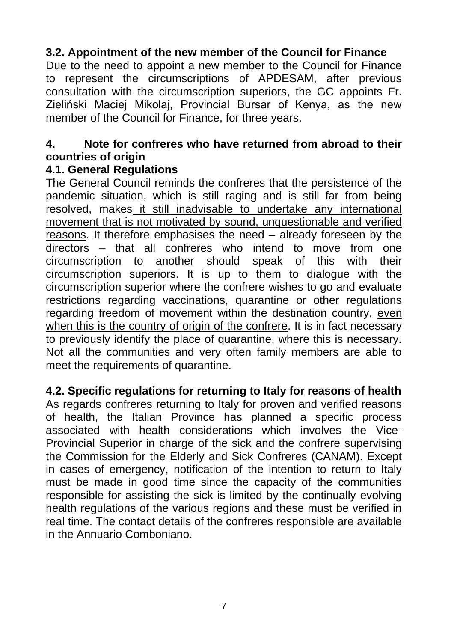## **3.2. Appointment of the new member of the Council for Finance**

Due to the need to appoint a new member to the Council for Finance to represent the circumscriptions of APDESAM, after previous consultation with the circumscription superiors, the GC appoints Fr. Zieliński Maciej Mikolaj, Provincial Bursar of Kenya, as the new member of the Council for Finance, for three years.

## **4. Note for confreres who have returned from abroad to their countries of origin**

## **4.1. General Regulations**

The General Council reminds the confreres that the persistence of the pandemic situation, which is still raging and is still far from being resolved, makes it still inadvisable to undertake any international movement that is not motivated by sound, unquestionable and verified reasons. It therefore emphasises the need – already foreseen by the directors – that all confreres who intend to move from one circumscription to another should speak of this with their circumscription superiors. It is up to them to dialogue with the circumscription superior where the confrere wishes to go and evaluate restrictions regarding vaccinations, quarantine or other regulations regarding freedom of movement within the destination country, even when this is the country of origin of the confrere. It is in fact necessary to previously identify the place of quarantine, where this is necessary. Not all the communities and very often family members are able to meet the requirements of quarantine.

## **4.2. Specific regulations for returning to Italy for reasons of health**

As regards confreres returning to Italy for proven and verified reasons of health, the Italian Province has planned a specific process associated with health considerations which involves the Vice-Provincial Superior in charge of the sick and the confrere supervising the Commission for the Elderly and Sick Confreres (CANAM). Except in cases of emergency, notification of the intention to return to Italy must be made in good time since the capacity of the communities responsible for assisting the sick is limited by the continually evolving health regulations of the various regions and these must be verified in real time. The contact details of the confreres responsible are available in the Annuario Comboniano.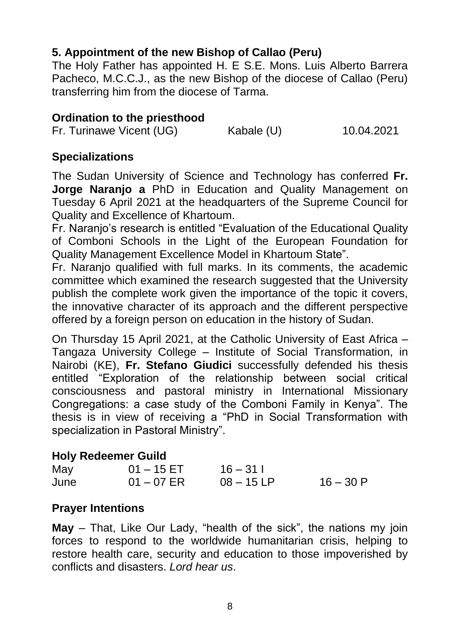## **5. Appointment of the new Bishop of Callao (Peru)**

The Holy Father has appointed H. E S.E. Mons. Luis Alberto Barrera Pacheco, M.C.C.J., as the new Bishop of the diocese of Callao (Peru) transferring him from the diocese of Tarma.

## **Ordination to the priesthood**

Fr. Turinawe Vicent (UG) Kabale (U) 10.04.2021

## **Specializations**

The Sudan University of Science and Technology has conferred **Fr. Jorge Naranjo a** PhD in Education and Quality Management on Tuesday 6 April 2021 at the headquarters of the Supreme Council for Quality and Excellence of Khartoum.

Fr. Naranjo's research is entitled "Evaluation of the Educational Quality of Comboni Schools in the Light of the European Foundation for Quality Management Excellence Model in Khartoum State".

Fr. Naranjo qualified with full marks. In its comments, the academic committee which examined the research suggested that the University publish the complete work given the importance of the topic it covers, the innovative character of its approach and the different perspective offered by a foreign person on education in the history of Sudan.

On Thursday 15 April 2021, at the Catholic University of East Africa – Tangaza University College – Institute of Social Transformation, in Nairobi (KE), **Fr. Stefano Giudici** successfully defended his thesis entitled "Exploration of the relationship between social critical consciousness and pastoral ministry in International Missionary Congregations: a case study of the Comboni Family in Kenya". The thesis is in view of receiving a "PhD in Social Transformation with specialization in Pastoral Ministry".

## **Holy Redeemer Guild**

| May  | $01 - 15$ ET | $16 - 311$   |            |
|------|--------------|--------------|------------|
| June | $01 - 07$ ER | $08 - 15 LP$ | $16 - 30P$ |

## **Prayer Intentions**

**May** – That, Like Our Lady, "health of the sick", the nations my join forces to respond to the worldwide humanitarian crisis, helping to restore health care, security and education to those impoverished by conflicts and disasters. *Lord hear us*.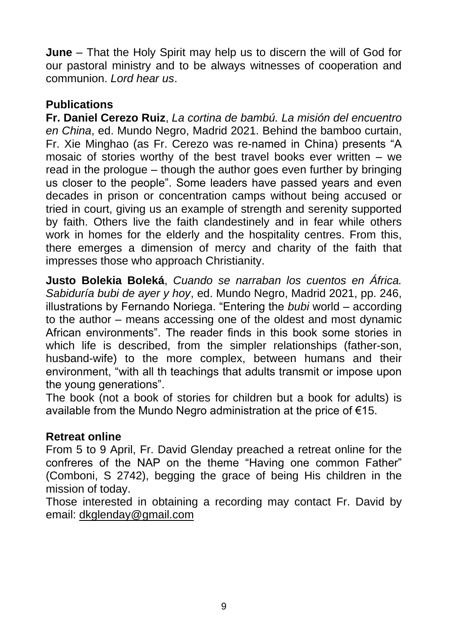**June** – That the Holy Spirit may help us to discern the will of God for our pastoral ministry and to be always witnesses of cooperation and communion. *Lord hear us*.

## **Publications**

**Fr. Daniel Cerezo Ruiz**, *La cortina de bambú. La misión del encuentro en China*, ed. Mundo Negro, Madrid 2021. Behind the bamboo curtain, Fr. Xie Minghao (as Fr. Cerezo was re-named in China) presents "A mosaic of stories worthy of the best travel books ever written – we read in the prologue – though the author goes even further by bringing us closer to the people". Some leaders have passed years and even decades in prison or concentration camps without being accused or tried in court, giving us an example of strength and serenity supported by faith. Others live the faith clandestinely and in fear while others work in homes for the elderly and the hospitality centres. From this, there emerges a dimension of mercy and charity of the faith that impresses those who approach Christianity.

**Justo Bolekia Boleká**, *Cuando se narraban los cuentos en África. Sabiduría bubi de ayer y hoy*, ed. Mundo Negro, Madrid 2021, pp. 246, illustrations by Fernando Noriega. "Entering the *bubi* world – according to the author – means accessing one of the oldest and most dynamic African environments". The reader finds in this book some stories in which life is described, from the simpler relationships (father-son, husband-wife) to the more complex, between humans and their environment, "with all th teachings that adults transmit or impose upon the young generations".

The book (not a book of stories for children but a book for adults) is available from the Mundo Negro administration at the price of €15.

## **Retreat online**

From 5 to 9 April, Fr. David Glenday preached a retreat online for the confreres of the NAP on the theme "Having one common Father" (Comboni, S 2742), begging the grace of being His children in the mission of today.

Those interested in obtaining a recording may contact Fr. David by email: [dkglenday@gmail.com](mailto:dkglenday@gmail.com)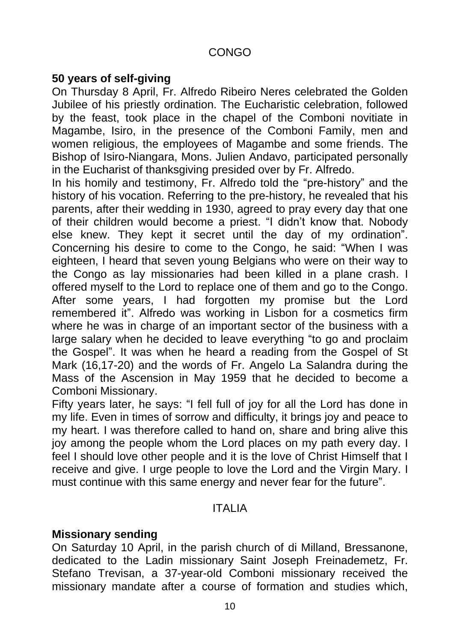## CONGO

## **50 years of self-giving**

On Thursday 8 April, Fr. Alfredo Ribeiro Neres celebrated the Golden Jubilee of his priestly ordination. The Eucharistic celebration, followed by the feast, took place in the chapel of the Comboni novitiate in Magambe, Isiro, in the presence of the Comboni Family, men and women religious, the employees of Magambe and some friends. The Bishop of Isiro-Niangara, Mons. Julien Andavo, participated personally in the Eucharist of thanksgiving presided over by Fr. Alfredo.

In his homily and testimony, Fr. Alfredo told the "pre-history" and the history of his vocation. Referring to the pre-history, he revealed that his parents, after their wedding in 1930, agreed to pray every day that one of their children would become a priest. "I didn't know that. Nobody else knew. They kept it secret until the day of my ordination". Concerning his desire to come to the Congo, he said: "When I was eighteen, I heard that seven young Belgians who were on their way to the Congo as lay missionaries had been killed in a plane crash. I offered myself to the Lord to replace one of them and go to the Congo. After some years, I had forgotten my promise but the Lord remembered it". Alfredo was working in Lisbon for a cosmetics firm where he was in charge of an important sector of the business with a large salary when he decided to leave everything "to go and proclaim the Gospel". It was when he heard a reading from the Gospel of St Mark (16,17-20) and the words of Fr. Angelo La Salandra during the Mass of the Ascension in May 1959 that he decided to become a Comboni Missionary.

Fifty years later, he says: "I fell full of joy for all the Lord has done in my life. Even in times of sorrow and difficulty, it brings joy and peace to my heart. I was therefore called to hand on, share and bring alive this joy among the people whom the Lord places on my path every day. I feel I should love other people and it is the love of Christ Himself that I receive and give. I urge people to love the Lord and the Virgin Mary. I must continue with this same energy and never fear for the future".

## ITALIA

#### **Missionary sending**

On Saturday 10 April, in the parish church of di Milland, Bressanone, dedicated to the Ladin missionary Saint Joseph Freinademetz, Fr. Stefano Trevisan, a 37-year-old Comboni missionary received the missionary mandate after a course of formation and studies which,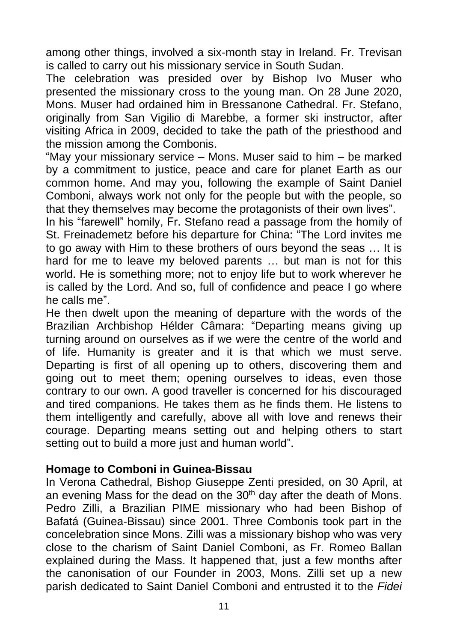among other things, involved a six-month stay in Ireland. Fr. Trevisan is called to carry out his missionary service in South Sudan.

The celebration was presided over by Bishop Ivo Muser who presented the missionary cross to the young man. On 28 June 2020, Mons. Muser had ordained him in Bressanone Cathedral. Fr. Stefano, originally from San Vigilio di Marebbe, a former ski instructor, after visiting Africa in 2009, decided to take the path of the priesthood and the mission among the Combonis.

"May your missionary service – Mons. Muser said to him – be marked by a commitment to justice, peace and care for planet Earth as our common home. And may you, following the example of Saint Daniel Comboni, always work not only for the people but with the people, so that they themselves may become the protagonists of their own lives".

In his "farewell" homily, Fr. Stefano read a passage from the homily of St. Freinademetz before his departure for China: "The Lord invites me to go away with Him to these brothers of ours beyond the seas … It is hard for me to leave my beloved parents … but man is not for this world. He is something more; not to enjoy life but to work wherever he is called by the Lord. And so, full of confidence and peace I go where he calls me".

He then dwelt upon the meaning of departure with the words of the Brazilian Archbishop Hélder Câmara: "Departing means giving up turning around on ourselves as if we were the centre of the world and of life. Humanity is greater and it is that which we must serve. Departing is first of all opening up to others, discovering them and going out to meet them; opening ourselves to ideas, even those contrary to our own. A good traveller is concerned for his discouraged and tired companions. He takes them as he finds them. He listens to them intelligently and carefully, above all with love and renews their courage. Departing means setting out and helping others to start setting out to build a more just and human world".

#### **Homage to Comboni in Guinea-Bissau**

In Verona Cathedral, Bishop Giuseppe Zenti presided, on 30 April, at an evening Mass for the dead on the 30<sup>th</sup> day after the death of Mons. Pedro Zilli, a Brazilian PIME missionary who had been Bishop of Bafatá (Guinea-Bissau) since 2001. Three Combonis took part in the concelebration since Mons. Zilli was a missionary bishop who was very close to the charism of Saint Daniel Comboni, as Fr. Romeo Ballan explained during the Mass. It happened that, just a few months after the canonisation of our Founder in 2003, Mons. Zilli set up a new parish dedicated to Saint Daniel Comboni and entrusted it to the *Fidei*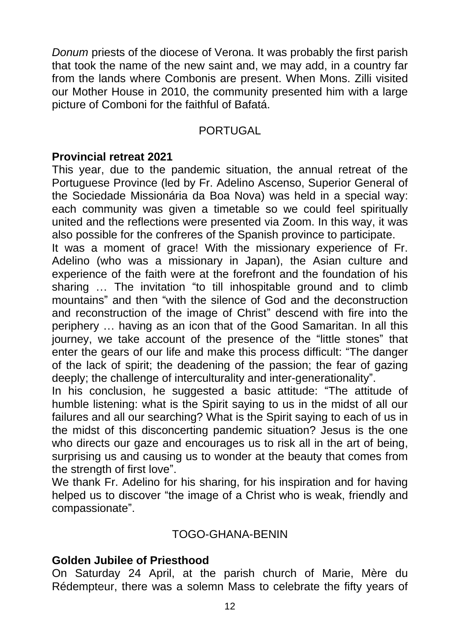*Donum* priests of the diocese of Verona. It was probably the first parish that took the name of the new saint and, we may add, in a country far from the lands where Combonis are present. When Mons. Zilli visited our Mother House in 2010, the community presented him with a large picture of Comboni for the faithful of Bafatá.

#### PORTUGAL

#### **Provincial retreat 2021**

This year, due to the pandemic situation, the annual retreat of the Portuguese Province (led by Fr. Adelino Ascenso, Superior General of the Sociedade Missionária da Boa Nova) was held in a special way: each community was given a timetable so we could feel spiritually united and the reflections were presented via Zoom. In this way, it was also possible for the confreres of the Spanish province to participate.

It was a moment of grace! With the missionary experience of Fr. Adelino (who was a missionary in Japan), the Asian culture and experience of the faith were at the forefront and the foundation of his sharing … The invitation "to till inhospitable ground and to climb mountains" and then "with the silence of God and the deconstruction and reconstruction of the image of Christ" descend with fire into the periphery … having as an icon that of the Good Samaritan. In all this journey, we take account of the presence of the "little stones" that enter the gears of our life and make this process difficult: "The danger of the lack of spirit; the deadening of the passion; the fear of gazing deeply; the challenge of interculturality and inter-generationality".

In his conclusion, he suggested a basic attitude: "The attitude of humble listening: what is the Spirit saying to us in the midst of all our failures and all our searching? What is the Spirit saying to each of us in the midst of this disconcerting pandemic situation? Jesus is the one who directs our gaze and encourages us to risk all in the art of being, surprising us and causing us to wonder at the beauty that comes from the strength of first love".

We thank Fr. Adelino for his sharing, for his inspiration and for having helped us to discover "the image of a Christ who is weak, friendly and compassionate".

## TOGO-GHANA-BENIN

#### **Golden Jubilee of Priesthood**

On Saturday 24 April, at the parish church of Marie, Mère du Rédempteur, there was a solemn Mass to celebrate the fifty years of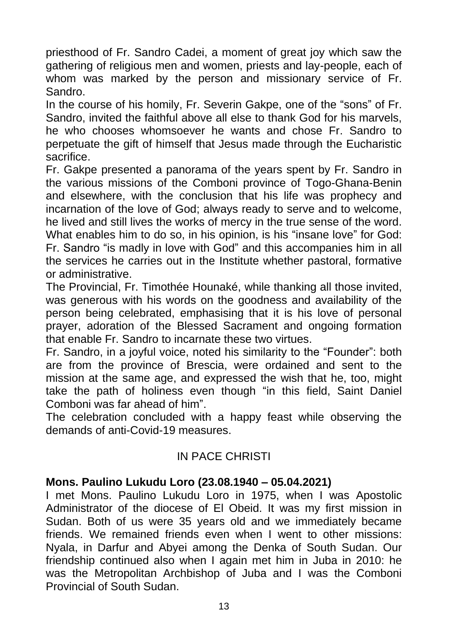priesthood of Fr. Sandro Cadei, a moment of great joy which saw the gathering of religious men and women, priests and lay-people, each of whom was marked by the person and missionary service of Fr. Sandro.

In the course of his homily, Fr. Severin Gakpe, one of the "sons" of Fr. Sandro, invited the faithful above all else to thank God for his marvels, he who chooses whomsoever he wants and chose Fr. Sandro to perpetuate the gift of himself that Jesus made through the Eucharistic sacrifice.

Fr. Gakpe presented a panorama of the years spent by Fr. Sandro in the various missions of the Comboni province of Togo-Ghana-Benin and elsewhere, with the conclusion that his life was prophecy and incarnation of the love of God; always ready to serve and to welcome, he lived and still lives the works of mercy in the true sense of the word. What enables him to do so, in his opinion, is his "insane love" for God: Fr. Sandro "is madly in love with God" and this accompanies him in all the services he carries out in the Institute whether pastoral, formative or administrative.

The Provincial, Fr. Timothée Hounaké, while thanking all those invited, was generous with his words on the goodness and availability of the person being celebrated, emphasising that it is his love of personal prayer, adoration of the Blessed Sacrament and ongoing formation that enable Fr. Sandro to incarnate these two virtues.

Fr. Sandro, in a joyful voice, noted his similarity to the "Founder": both are from the province of Brescia, were ordained and sent to the mission at the same age, and expressed the wish that he, too, might take the path of holiness even though "in this field, Saint Daniel Comboni was far ahead of him".

The celebration concluded with a happy feast while observing the demands of anti-Covid-19 measures.

## IN PACE CHRISTI

## **Mons. Paulino Lukudu Loro (23.08.1940 – 05.04.2021)**

I met Mons. Paulino Lukudu Loro in 1975, when I was Apostolic Administrator of the diocese of El Obeid. It was my first mission in Sudan. Both of us were 35 years old and we immediately became friends. We remained friends even when I went to other missions: Nyala, in Darfur and Abyei among the Denka of South Sudan. Our friendship continued also when I again met him in Juba in 2010: he was the Metropolitan Archbishop of Juba and I was the Comboni Provincial of South Sudan.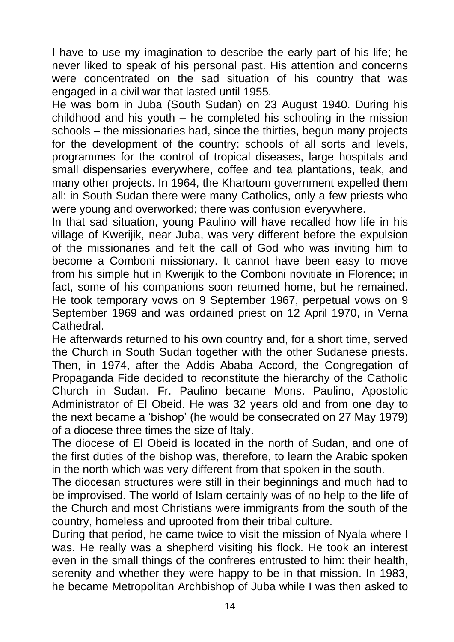I have to use my imagination to describe the early part of his life; he never liked to speak of his personal past. His attention and concerns were concentrated on the sad situation of his country that was engaged in a civil war that lasted until 1955.

He was born in Juba (South Sudan) on 23 August 1940. During his childhood and his youth – he completed his schooling in the mission schools – the missionaries had, since the thirties, begun many projects for the development of the country: schools of all sorts and levels, programmes for the control of tropical diseases, large hospitals and small dispensaries everywhere, coffee and tea plantations, teak, and many other projects. In 1964, the Khartoum government expelled them all: in South Sudan there were many Catholics, only a few priests who were young and overworked; there was confusion everywhere.

In that sad situation, young Paulino will have recalled how life in his village of Kwerijik, near Juba, was very different before the expulsion of the missionaries and felt the call of God who was inviting him to become a Comboni missionary. It cannot have been easy to move from his simple hut in Kwerijik to the Comboni novitiate in Florence; in fact, some of his companions soon returned home, but he remained. He took temporary vows on 9 September 1967, perpetual vows on 9 September 1969 and was ordained priest on 12 April 1970, in Verna **Cathedral** 

He afterwards returned to his own country and, for a short time, served the Church in South Sudan together with the other Sudanese priests. Then, in 1974, after the Addis Ababa Accord, the Congregation of Propaganda Fide decided to reconstitute the hierarchy of the Catholic Church in Sudan. Fr. Paulino became Mons. Paulino, Apostolic Administrator of El Obeid. He was 32 years old and from one day to the next became a 'bishop' (he would be consecrated on 27 May 1979) of a diocese three times the size of Italy.

The diocese of El Obeid is located in the north of Sudan, and one of the first duties of the bishop was, therefore, to learn the Arabic spoken in the north which was very different from that spoken in the south.

The diocesan structures were still in their beginnings and much had to be improvised. The world of Islam certainly was of no help to the life of the Church and most Christians were immigrants from the south of the country, homeless and uprooted from their tribal culture.

During that period, he came twice to visit the mission of Nyala where I was. He really was a shepherd visiting his flock. He took an interest even in the small things of the confreres entrusted to him: their health, serenity and whether they were happy to be in that mission. In 1983, he became Metropolitan Archbishop of Juba while I was then asked to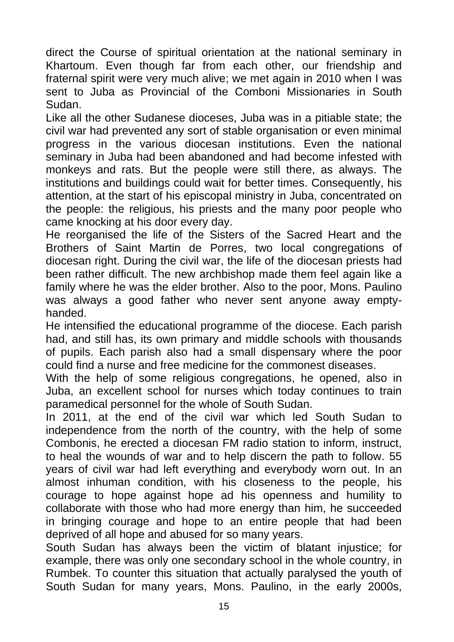direct the Course of spiritual orientation at the national seminary in Khartoum. Even though far from each other, our friendship and fraternal spirit were very much alive; we met again in 2010 when I was sent to Juba as Provincial of the Comboni Missionaries in South Sudan.

Like all the other Sudanese dioceses, Juba was in a pitiable state; the civil war had prevented any sort of stable organisation or even minimal progress in the various diocesan institutions. Even the national seminary in Juba had been abandoned and had become infested with monkeys and rats. But the people were still there, as always. The institutions and buildings could wait for better times. Consequently, his attention, at the start of his episcopal ministry in Juba, concentrated on the people: the religious, his priests and the many poor people who came knocking at his door every day.

He reorganised the life of the Sisters of the Sacred Heart and the Brothers of Saint Martin de Porres, two local congregations of diocesan right. During the civil war, the life of the diocesan priests had been rather difficult. The new archbishop made them feel again like a family where he was the elder brother. Also to the poor, Mons. Paulino was always a good father who never sent anyone away emptyhanded.

He intensified the educational programme of the diocese. Each parish had, and still has, its own primary and middle schools with thousands of pupils. Each parish also had a small dispensary where the poor could find a nurse and free medicine for the commonest diseases.

With the help of some religious congregations, he opened, also in Juba, an excellent school for nurses which today continues to train paramedical personnel for the whole of South Sudan.

In 2011, at the end of the civil war which led South Sudan to independence from the north of the country, with the help of some Combonis, he erected a diocesan FM radio station to inform, instruct, to heal the wounds of war and to help discern the path to follow. 55 years of civil war had left everything and everybody worn out. In an almost inhuman condition, with his closeness to the people, his courage to hope against hope ad his openness and humility to collaborate with those who had more energy than him, he succeeded in bringing courage and hope to an entire people that had been deprived of all hope and abused for so many years.

South Sudan has always been the victim of blatant injustice; for example, there was only one secondary school in the whole country, in Rumbek. To counter this situation that actually paralysed the youth of South Sudan for many years, Mons. Paulino, in the early 2000s,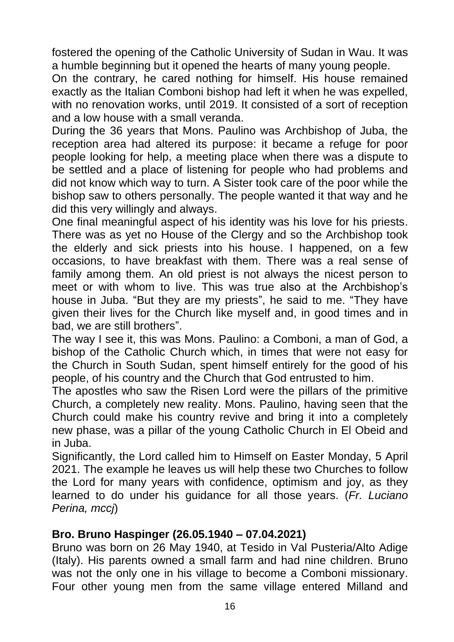fostered the opening of the Catholic University of Sudan in Wau. It was a humble beginning but it opened the hearts of many young people.

On the contrary, he cared nothing for himself. His house remained exactly as the Italian Comboni bishop had left it when he was expelled, with no renovation works, until 2019. It consisted of a sort of reception and a low house with a small veranda.

During the 36 years that Mons. Paulino was Archbishop of Juba, the reception area had altered its purpose: it became a refuge for poor people looking for help, a meeting place when there was a dispute to be settled and a place of listening for people who had problems and did not know which way to turn. A Sister took care of the poor while the bishop saw to others personally. The people wanted it that way and he did this very willingly and always.

One final meaningful aspect of his identity was his love for his priests. There was as yet no House of the Clergy and so the Archbishop took the elderly and sick priests into his house. I happened, on a few occasions, to have breakfast with them. There was a real sense of family among them. An old priest is not always the nicest person to meet or with whom to live. This was true also at the Archbishop's house in Juba. "But they are my priests", he said to me. "They have given their lives for the Church like myself and, in good times and in bad, we are still brothers".

The way I see it, this was Mons. Paulino: a Comboni, a man of God, a bishop of the Catholic Church which, in times that were not easy for the Church in South Sudan, spent himself entirely for the good of his people, of his country and the Church that God entrusted to him.

The apostles who saw the Risen Lord were the pillars of the primitive Church, a completely new reality. Mons. Paulino, having seen that the Church could make his country revive and bring it into a completely new phase, was a pillar of the young Catholic Church in El Obeid and in Juba.

Significantly, the Lord called him to Himself on Easter Monday, 5 April 2021. The example he leaves us will help these two Churches to follow the Lord for many years with confidence, optimism and joy, as they learned to do under his guidance for all those years. (*Fr. Luciano Perina, mccj*)

## **Bro. Bruno Haspinger (26.05.1940 – 07.04.2021)**

Bruno was born on 26 May 1940, at Tesido in Val Pusteria/Alto Adige (Italy). His parents owned a small farm and had nine children. Bruno was not the only one in his village to become a Comboni missionary. Four other young men from the same village entered Milland and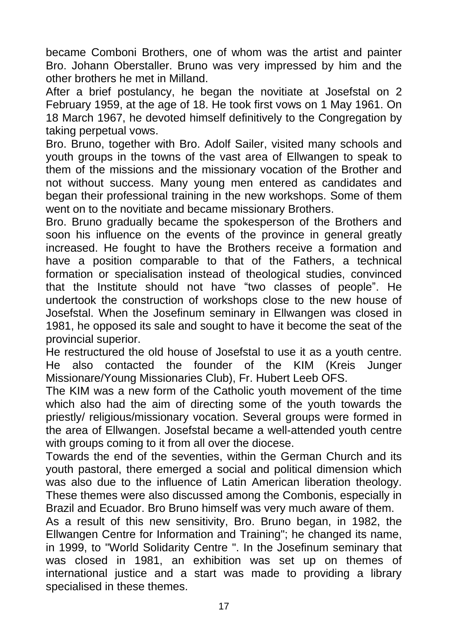became Comboni Brothers, one of whom was the artist and painter Bro. Johann Oberstaller. Bruno was very impressed by him and the other brothers he met in Milland.

After a brief postulancy, he began the novitiate at Josefstal on 2 February 1959, at the age of 18. He took first vows on 1 May 1961. On 18 March 1967, he devoted himself definitively to the Congregation by taking perpetual vows.

Bro. Bruno, together with Bro. Adolf Sailer, visited many schools and youth groups in the towns of the vast area of Ellwangen to speak to them of the missions and the missionary vocation of the Brother and not without success. Many young men entered as candidates and began their professional training in the new workshops. Some of them went on to the novitiate and became missionary Brothers.

Bro. Bruno gradually became the spokesperson of the Brothers and soon his influence on the events of the province in general greatly increased. He fought to have the Brothers receive a formation and have a position comparable to that of the Fathers, a technical formation or specialisation instead of theological studies, convinced that the Institute should not have "two classes of people". He undertook the construction of workshops close to the new house of Josefstal. When the Josefinum seminary in Ellwangen was closed in 1981, he opposed its sale and sought to have it become the seat of the provincial superior.

He restructured the old house of Josefstal to use it as a youth centre. He also contacted the founder of the KIM (Kreis Junger Missionare/Young Missionaries Club), Fr. Hubert Leeb OFS.

The KIM was a new form of the Catholic youth movement of the time which also had the aim of directing some of the youth towards the priestly/ religious/missionary vocation. Several groups were formed in the area of Ellwangen. Josefstal became a well-attended youth centre with groups coming to it from all over the diocese.

Towards the end of the seventies, within the German Church and its youth pastoral, there emerged a social and political dimension which was also due to the influence of Latin American liberation theology. These themes were also discussed among the Combonis, especially in Brazil and Ecuador. Bro Bruno himself was very much aware of them.

As a result of this new sensitivity, Bro. Bruno began, in 1982, the Ellwangen Centre for Information and Training"; he changed its name, in 1999, to "World Solidarity Centre ". In the Josefinum seminary that was closed in 1981, an exhibition was set up on themes of international justice and a start was made to providing a library specialised in these themes.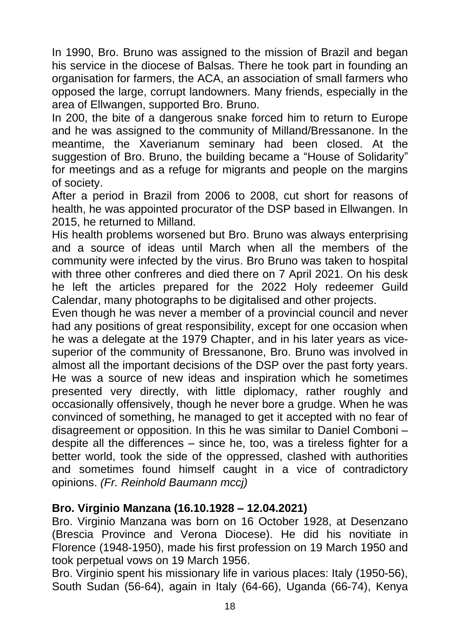In 1990, Bro. Bruno was assigned to the mission of Brazil and began his service in the diocese of Balsas. There he took part in founding an organisation for farmers, the ACA, an association of small farmers who opposed the large, corrupt landowners. Many friends, especially in the area of Ellwangen, supported Bro. Bruno.

In 200, the bite of a dangerous snake forced him to return to Europe and he was assigned to the community of Milland/Bressanone. In the meantime, the Xaverianum seminary had been closed. At the suggestion of Bro. Bruno, the building became a "House of Solidarity" for meetings and as a refuge for migrants and people on the margins of society.

After a period in Brazil from 2006 to 2008, cut short for reasons of health, he was appointed procurator of the DSP based in Ellwangen. In 2015, he returned to Milland.

His health problems worsened but Bro. Bruno was always enterprising and a source of ideas until March when all the members of the community were infected by the virus. Bro Bruno was taken to hospital with three other confreres and died there on 7 April 2021. On his desk he left the articles prepared for the 2022 Holy redeemer Guild Calendar, many photographs to be digitalised and other projects.

Even though he was never a member of a provincial council and never had any positions of great responsibility, except for one occasion when he was a delegate at the 1979 Chapter, and in his later years as vicesuperior of the community of Bressanone, Bro. Bruno was involved in almost all the important decisions of the DSP over the past forty years. He was a source of new ideas and inspiration which he sometimes presented very directly, with little diplomacy, rather roughly and occasionally offensively, though he never bore a grudge. When he was convinced of something, he managed to get it accepted with no fear of disagreement or opposition. In this he was similar to Daniel Comboni – despite all the differences – since he, too, was a tireless fighter for a better world, took the side of the oppressed, clashed with authorities and sometimes found himself caught in a vice of contradictory opinions. *(Fr. Reinhold Baumann mccj)* 

## **Bro. Virginio Manzana (16.10.1928 – 12.04.2021)**

Bro. Virginio Manzana was born on 16 October 1928, at Desenzano (Brescia Province and Verona Diocese). He did his novitiate in Florence (1948-1950), made his first profession on 19 March 1950 and took perpetual vows on 19 March 1956.

Bro. Virginio spent his missionary life in various places: Italy (1950-56), South Sudan (56-64), again in Italy (64-66), Uganda (66-74), Kenya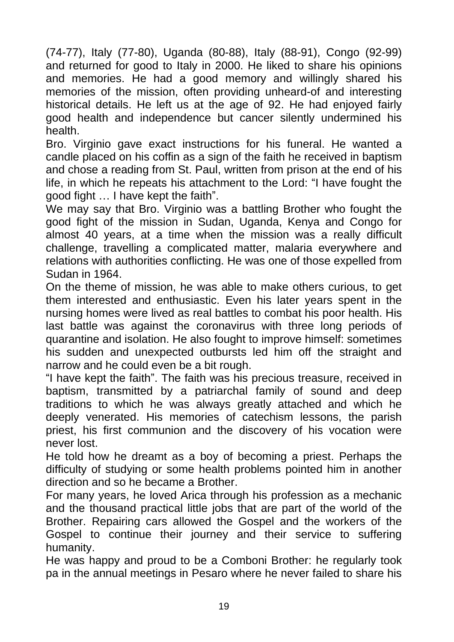(74-77), Italy (77-80), Uganda (80-88), Italy (88-91), Congo (92-99) and returned for good to Italy in 2000. He liked to share his opinions and memories. He had a good memory and willingly shared his memories of the mission, often providing unheard-of and interesting historical details. He left us at the age of 92. He had enjoyed fairly good health and independence but cancer silently undermined his health.

Bro. Virginio gave exact instructions for his funeral. He wanted a candle placed on his coffin as a sign of the faith he received in baptism and chose a reading from St. Paul, written from prison at the end of his life, in which he repeats his attachment to the Lord: "I have fought the good fight … I have kept the faith".

We may say that Bro. Virginio was a battling Brother who fought the good fight of the mission in Sudan, Uganda, Kenya and Congo for almost 40 years, at a time when the mission was a really difficult challenge, travelling a complicated matter, malaria everywhere and relations with authorities conflicting. He was one of those expelled from Sudan in 1964.

On the theme of mission, he was able to make others curious, to get them interested and enthusiastic. Even his later years spent in the nursing homes were lived as real battles to combat his poor health. His last battle was against the coronavirus with three long periods of quarantine and isolation. He also fought to improve himself: sometimes his sudden and unexpected outbursts led him off the straight and narrow and he could even be a bit rough.

"I have kept the faith". The faith was his precious treasure, received in baptism, transmitted by a patriarchal family of sound and deep traditions to which he was always greatly attached and which he deeply venerated. His memories of catechism lessons, the parish priest, his first communion and the discovery of his vocation were never lost.

He told how he dreamt as a boy of becoming a priest. Perhaps the difficulty of studying or some health problems pointed him in another direction and so he became a Brother.

For many years, he loved Arica through his profession as a mechanic and the thousand practical little jobs that are part of the world of the Brother. Repairing cars allowed the Gospel and the workers of the Gospel to continue their journey and their service to suffering humanity.

He was happy and proud to be a Comboni Brother: he regularly took pa in the annual meetings in Pesaro where he never failed to share his